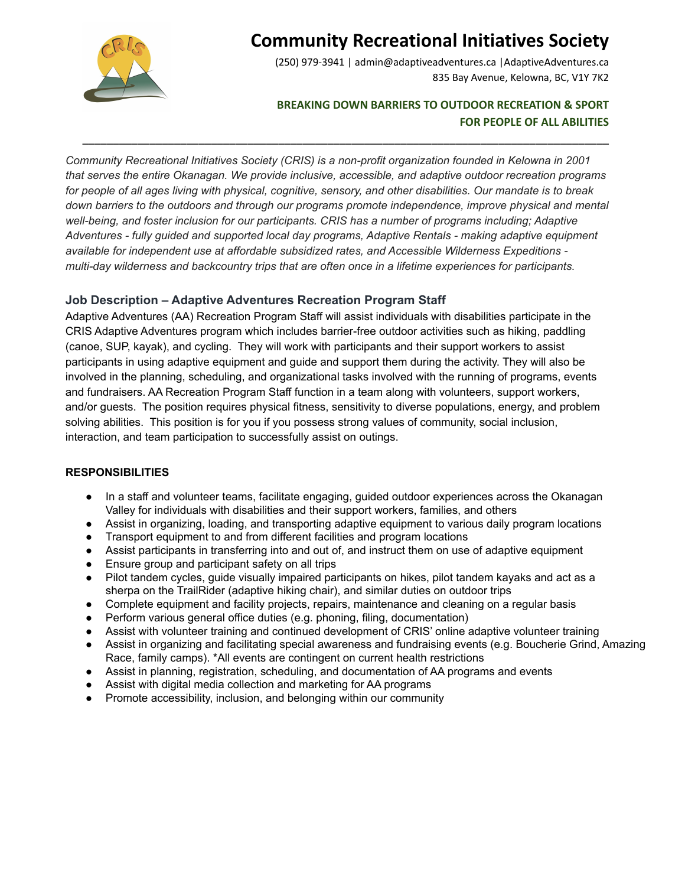

# **Community Recreational Initiatives Society**

(250) 979-3941 | admin@adaptiveadventures.ca |AdaptiveAdventures.ca 835 Bay Avenue, Kelowna, BC, V1Y 7K2

### **BREAKING DOWN BARRIERS TO OUTDOOR RECREATION & SPORT FOR PEOPLE OF ALL ABILITIES**

*Community Recreational Initiatives Society (CRIS) is a non-profit organization founded in Kelowna in 2001 that serves the entire Okanagan. We provide inclusive, accessible, and adaptive outdoor recreation programs* for people of all ages living with physical, cognitive, sensory, and other disabilities. Our mandate is to break *down barriers to the outdoors and through our programs promote independence, improve physical and mental well-being, and foster inclusion for our participants. CRIS has a number of programs including; Adaptive Adventures - fully guided and supported local day programs, Adaptive Rentals - making adaptive equipment available for independent use at affordable subsidized rates, and Accessible Wilderness Expeditions multi-day wilderness and backcountry trips that are often once in a lifetime experiences for participants.*

\_\_\_\_\_\_\_\_\_\_\_\_\_\_\_\_\_\_\_\_\_\_\_\_\_\_\_\_\_\_\_\_\_\_\_\_\_\_\_\_\_\_\_\_\_\_\_\_\_\_\_\_\_\_\_\_\_\_\_\_\_\_\_\_\_\_\_\_\_\_\_\_\_\_\_\_\_\_\_\_\_\_\_\_\_\_

### **Job Description – Adaptive Adventures Recreation Program Staff**

Adaptive Adventures (AA) Recreation Program Staff will assist individuals with disabilities participate in the CRIS Adaptive Adventures program which includes barrier-free outdoor activities such as hiking, paddling (canoe, SUP, kayak), and cycling. They will work with participants and their support workers to assist participants in using adaptive equipment and guide and support them during the activity. They will also be involved in the planning, scheduling, and organizational tasks involved with the running of programs, events and fundraisers. AA Recreation Program Staff function in a team along with volunteers, support workers, and/or guests. The position requires physical fitness, sensitivity to diverse populations, energy, and problem solving abilities. This position is for you if you possess strong values of community, social inclusion, interaction, and team participation to successfully assist on outings.

#### **RESPONSIBILITIES**

- In a staff and volunteer teams, facilitate engaging, guided outdoor experiences across the Okanagan Valley for individuals with disabilities and their support workers, families, and others
- Assist in organizing, loading, and transporting adaptive equipment to various daily program locations
- Transport equipment to and from different facilities and program locations
- Assist participants in transferring into and out of, and instruct them on use of adaptive equipment
- Ensure group and participant safety on all trips
- Pilot tandem cycles, guide visually impaired participants on hikes, pilot tandem kayaks and act as a sherpa on the TrailRider (adaptive hiking chair), and similar duties on outdoor trips
- Complete equipment and facility projects, repairs, maintenance and cleaning on a regular basis
- Perform various general office duties (e.g. phoning, filing, documentation)
- Assist with volunteer training and continued development of CRIS' online adaptive volunteer training
- Assist in organizing and facilitating special awareness and fundraising events (e.g. Boucherie Grind, Amazing Race, family camps). \*All events are contingent on current health restrictions
- Assist in planning, registration, scheduling, and documentation of AA programs and events
- Assist with digital media collection and marketing for AA programs
- Promote accessibility, inclusion, and belonging within our community